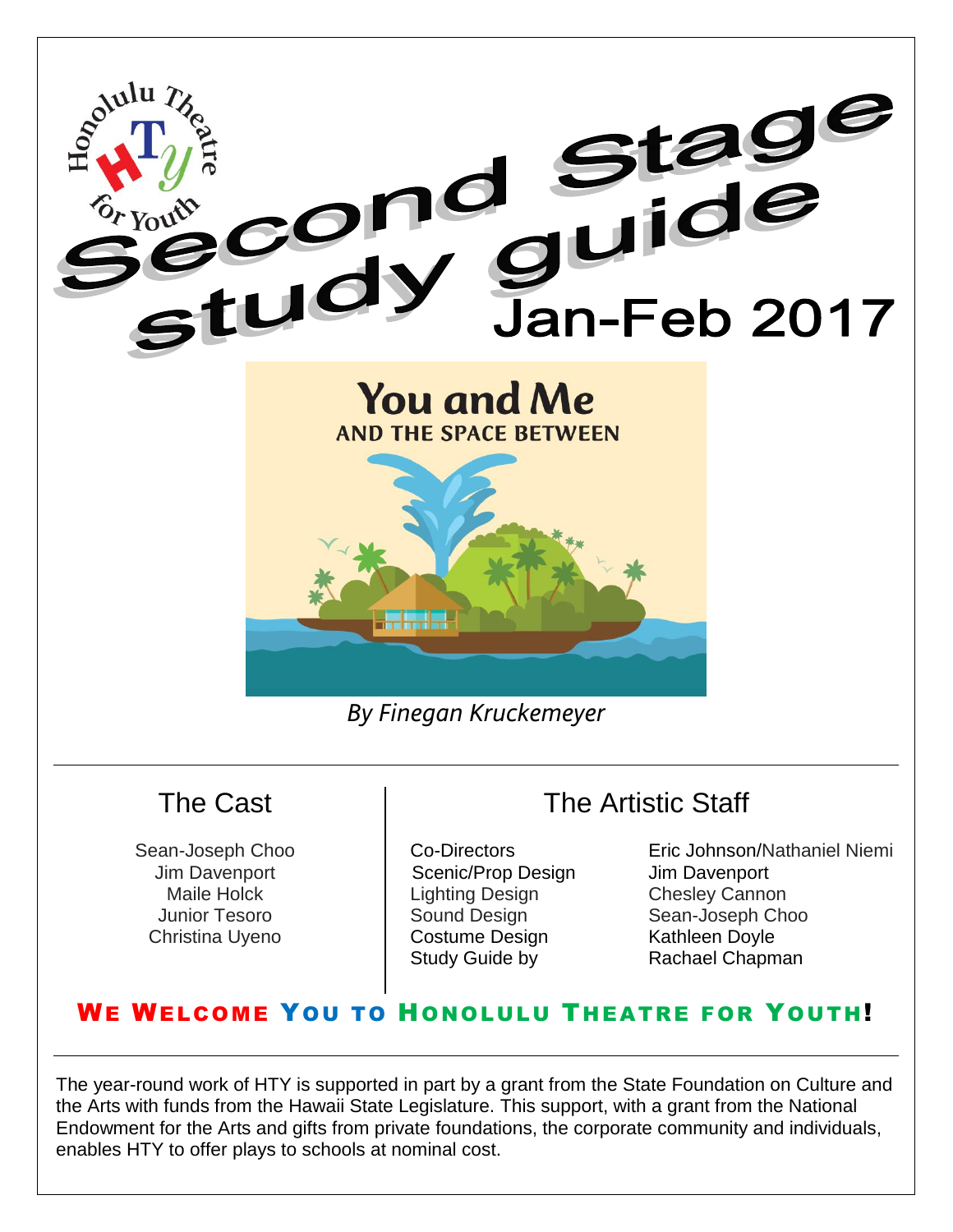

#### The Cast

Sean-Joseph Choo Jim Davenport Maile Holck Junior Tesoro Christina Uyeno

Scenic/Prop Design Jim Davenport Lighting Design Chesley Cannon Costume Design Kathleen Doyle

Co-Directors Eric Johnson/Nathaniel Niemi Sound Design Sean-Joseph Choo Study Guide by **Rachael Chapman** 

The Artistic Staff

#### WE WELCOME YOU TO HONOLULU THEATRE FOR YOUTH!

The year-round work of HTY is supported in part by a grant from the State Foundation on Culture and the Arts with funds from the Hawaii State Legislature. This support, with a grant from the National Endowment for the Arts and gifts from private foundations, the corporate community and individuals, enables HTY to offer plays to schools at nominal cost.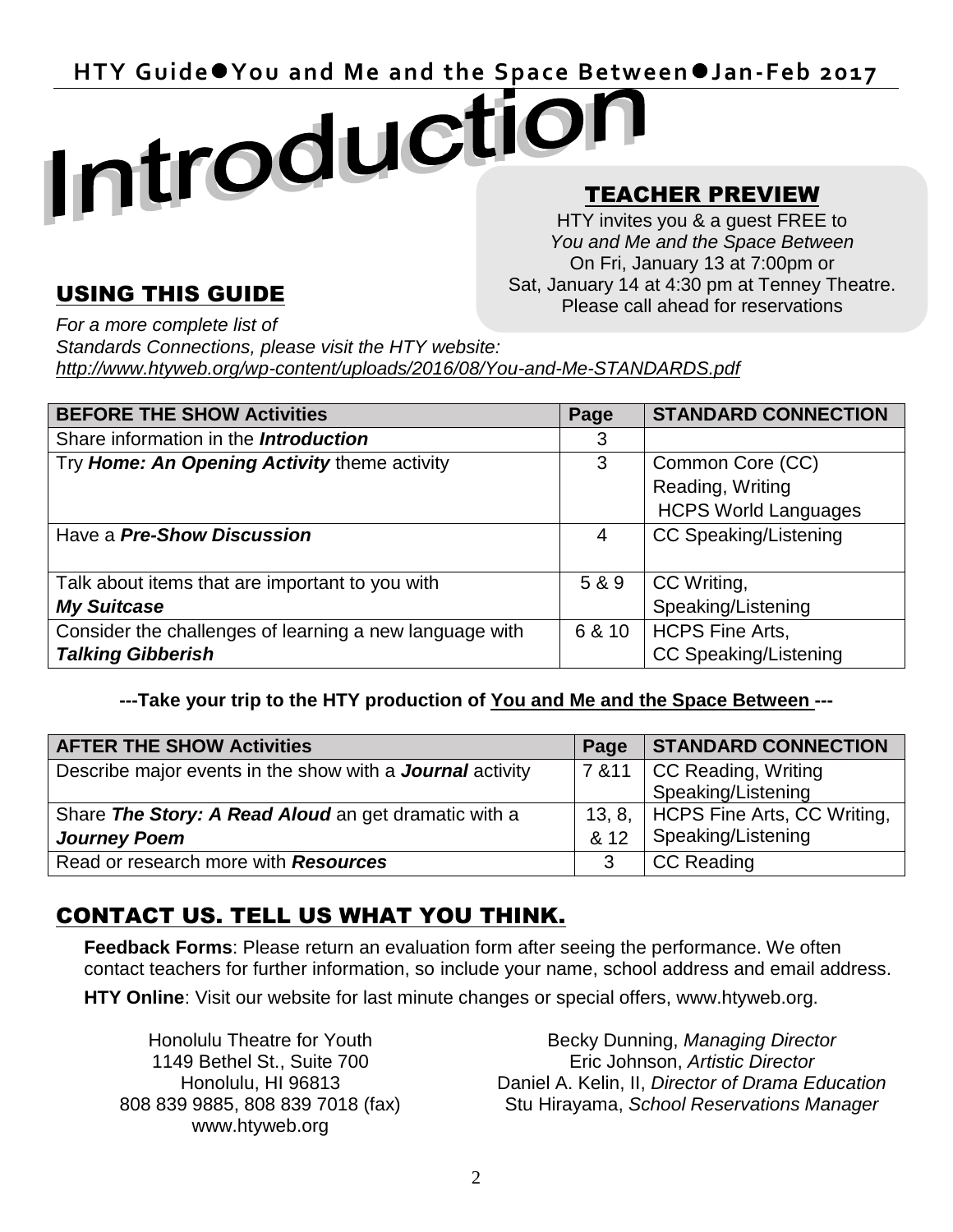HTY Guide<sup>o</sup> You and Me and the Space Between *Jan-Feb 2017* 

#### TEACHER PREVIEW .

HTY invites you & a guest FREE to *You and Me and the Space Between* On Fri, January 13 at 7:00pm or Sat, January 14 at 4:30 pm at Tenney Theatre. Please call ahead for reservations

#### USING THIS GUIDE

*For a more complete list of Standards Connections, please visit the HTY website: http://www.htyweb.org/wp-content/uploads/2016/08/You-and-Me-STANDARDS.pdf*

| <b>BEFORE THE SHOW Activities</b>                       | Page   | <b>STANDARD CONNECTION</b>   |
|---------------------------------------------------------|--------|------------------------------|
| Share information in the <b>Introduction</b>            | 3      |                              |
| Try Home: An Opening Activity theme activity            | 3      | Common Core (CC)             |
|                                                         |        | Reading, Writing             |
|                                                         |        | <b>HCPS World Languages</b>  |
| Have a <b>Pre-Show Discussion</b>                       | 4      | <b>CC Speaking/Listening</b> |
|                                                         |        |                              |
| Talk about items that are important to you with         | 5 & 9  | CC Writing,                  |
| <b>My Suitcase</b>                                      |        | Speaking/Listening           |
| Consider the challenges of learning a new language with | 6 & 10 | <b>HCPS Fine Arts,</b>       |
| <b>Talking Gibberish</b>                                |        | <b>CC Speaking/Listening</b> |

#### **---Take your trip to the HTY production of You and Me and the Space Between ---**

| <b>AFTER THE SHOW Activities</b>                                 | Page   | <b>STANDARD CONNECTION</b>           |
|------------------------------------------------------------------|--------|--------------------------------------|
| Describe major events in the show with a <b>Journal</b> activity | 7 & 11 | <b>CC Reading, Writing</b>           |
|                                                                  |        | Speaking/Listening                   |
| Share The Story: A Read Aloud an get dramatic with a             |        | 13, 8,   HCPS Fine Arts, CC Writing, |
| <b>Journey Poem</b>                                              | & 12   | Speaking/Listening                   |
| Read or research more with Resources                             |        | <b>CC Reading</b>                    |

#### CONTACT US. TELL US WHAT YOU THINK.

**Feedback Forms**: Please return an evaluation form after seeing the performance. We often contact teachers for further information, so include your name, school address and email address.

**HTY Online**: Visit our website for last minute changes or special offers, www.htyweb.org.

Honolulu Theatre for Youth 1149 Bethel St., Suite 700 Honolulu, HI 96813 808 839 9885, 808 839 7018 (fax) www.htyweb.org

Becky Dunning, *Managing Director* Eric Johnson, *Artistic Director* Daniel A. Kelin, II, *Director of Drama Education*  Stu Hirayama, *School Reservations Manager*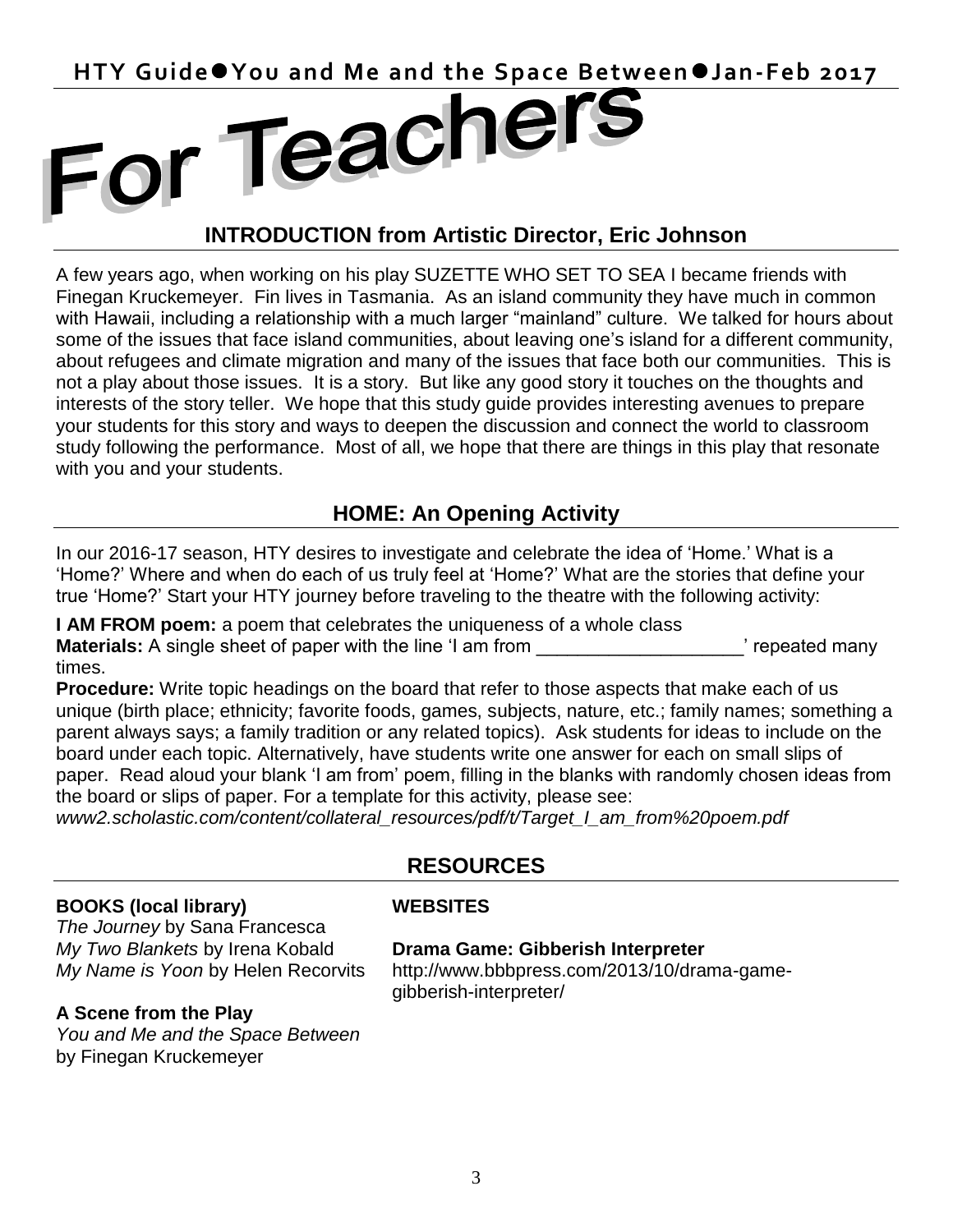HTY Guide<sup>o</sup> You and Me and the Space Between **Jan-Feb 2017** 

#### **INTRODUCTION from Artistic Director, Eric Johnson**

A few years ago, when working on his play SUZETTE WHO SET TO SEA I became friends with Finegan Kruckemeyer. Fin lives in Tasmania. As an island community they have much in common with Hawaii, including a relationship with a much larger "mainland" culture. We talked for hours about some of the issues that face island communities, about leaving one's island for a different community, about refugees and climate migration and many of the issues that face both our communities. This is not a play about those issues. It is a story. But like any good story it touches on the thoughts and interests of the story teller. We hope that this study guide provides interesting avenues to prepare your students for this story and ways to deepen the discussion and connect the world to classroom study following the performance. Most of all, we hope that there are things in this play that resonate with you and your students.

#### **HOME: An Opening Activity**

In our 2016-17 season, HTY desires to investigate and celebrate the idea of 'Home.' What is a 'Home?' Where and when do each of us truly feel at 'Home?' What are the stories that define your true 'Home?' Start your HTY journey before traveling to the theatre with the following activity:

**I AM FROM poem:** a poem that celebrates the uniqueness of a whole class **Materials:** A single sheet of paper with the line 'I am from The Content of The Presented many times.

**Procedure:** Write topic headings on the board that refer to those aspects that make each of us unique (birth place; ethnicity; favorite foods, games, subjects, nature, etc.; family names; something a parent always says; a family tradition or any related topics). Ask students for ideas to include on the board under each topic. Alternatively, have students write one answer for each on small slips of paper. Read aloud your blank 'I am from' poem, filling in the blanks with randomly chosen ideas from the board or slips of paper. For a template for this activity, please see:

*www2.scholastic.com/content/collateral\_resources/pdf/t/Target\_I\_am\_from%20poem.pdf*

### **RESOURCES**

#### **BOOKS (local library)**

*The Journey* by Sana Francesca *My Two Blankets* by Irena Kobald *My Name is Yoon* by Helen Recorvits

#### **A Scene from the Play**

*You and Me and the Space Between*  by Finegan Kruckemeyer

#### **WEBSITES**

#### **Drama Game: Gibberish Interpreter**

http://www.bbbpress.com/2013/10/drama-gamegibberish-interpreter/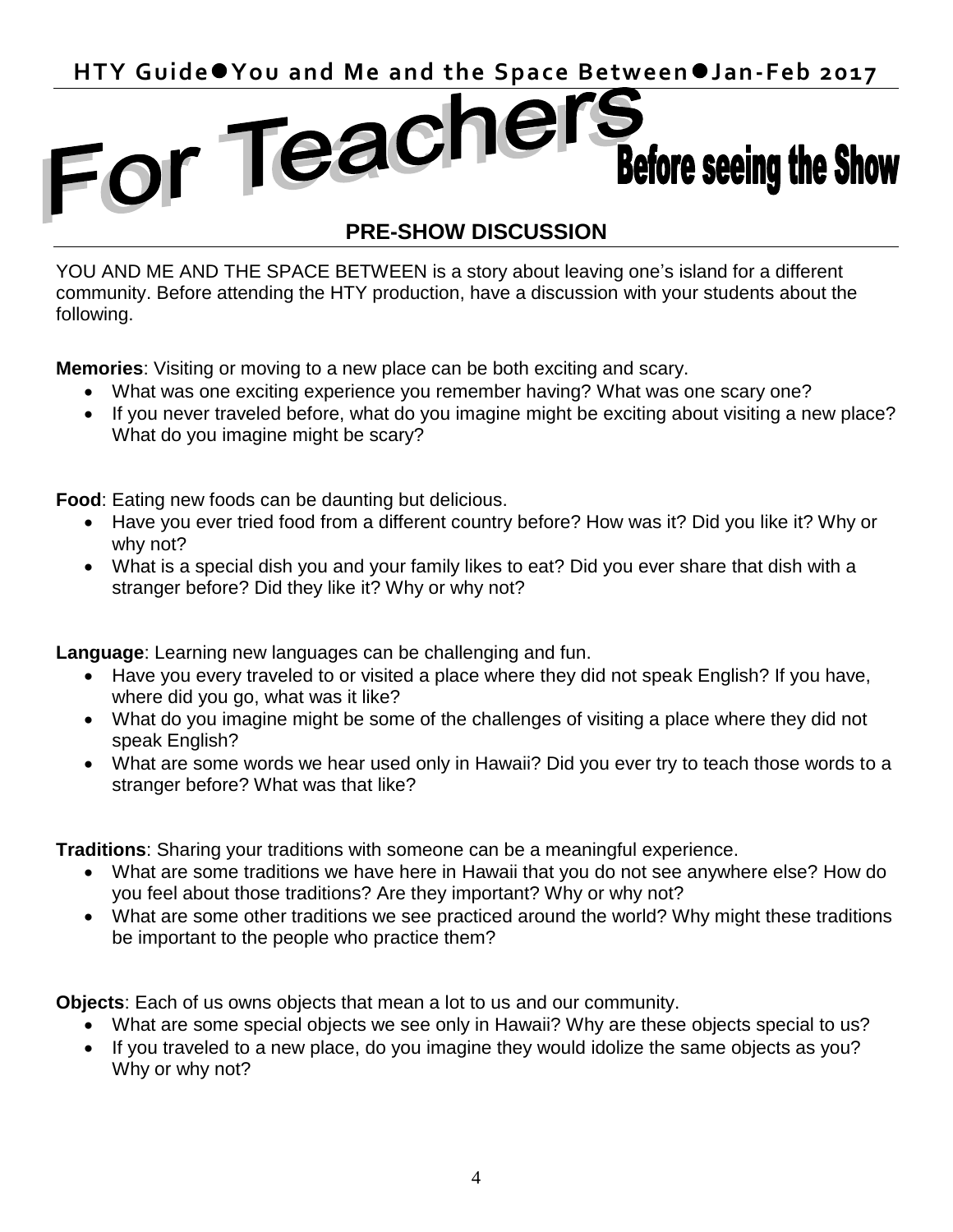### HTY Guide<sup>o</sup> You and Me and the Space Between *Jan-Feb 2017*<br>
For Teacher Refers each Professor of the Professor of the Space Between *Jan-Feb 2017* **Before seeing the Show**

#### **PRE-SHOW DISCUSSION**

YOU AND ME AND THE SPACE BETWEEN is a story about leaving one's island for a different community. Before attending the HTY production, have a discussion with your students about the following.

**Memories**: Visiting or moving to a new place can be both exciting and scary.

- What was one exciting experience you remember having? What was one scary one?
- If you never traveled before, what do you imagine might be exciting about visiting a new place? What do you imagine might be scary?

**Food**: Eating new foods can be daunting but delicious.

- Have you ever tried food from a different country before? How was it? Did you like it? Why or why not?
- What is a special dish you and your family likes to eat? Did you ever share that dish with a stranger before? Did they like it? Why or why not?

**Language**: Learning new languages can be challenging and fun.

- Have you every traveled to or visited a place where they did not speak English? If you have, where did you go, what was it like?
- What do you imagine might be some of the challenges of visiting a place where they did not speak English?
- What are some words we hear used only in Hawaii? Did you ever try to teach those words to a stranger before? What was that like?

**Traditions**: Sharing your traditions with someone can be a meaningful experience.

- What are some traditions we have here in Hawaii that you do not see anywhere else? How do you feel about those traditions? Are they important? Why or why not?
- What are some other traditions we see practiced around the world? Why might these traditions be important to the people who practice them?

**Objects**: Each of us owns objects that mean a lot to us and our community.

- What are some special objects we see only in Hawaii? Why are these objects special to us?
- If you traveled to a new place, do you imagine they would idolize the same objects as you? Why or why not?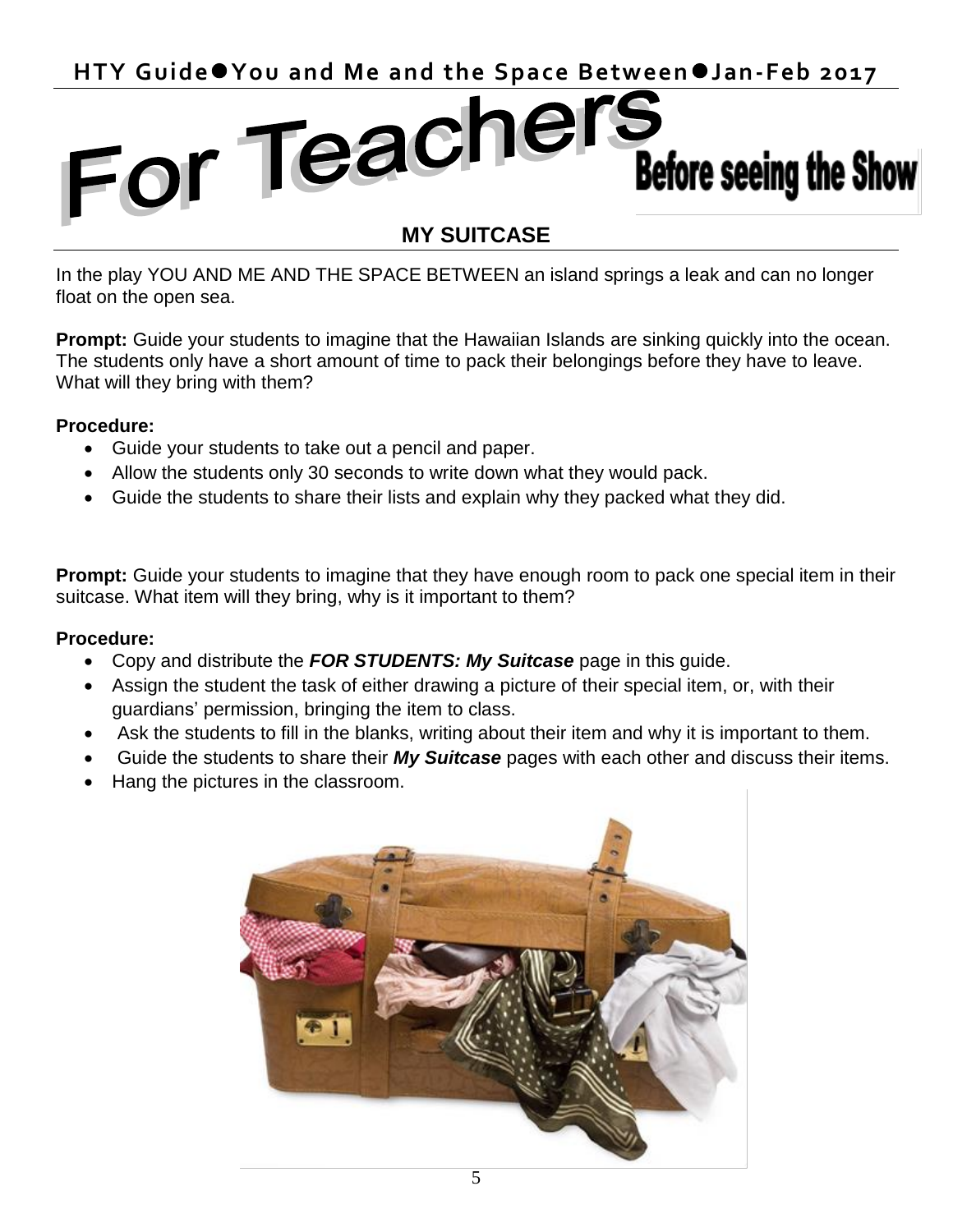## HTY Guide<sup>o</sup> You and Me and the Space Between *Jan-Feb 2017*<br>
FOL Teacher Mathro Andre Mathro 2017 **Before seeing the Show**

#### **MY SUITCASE**

In the play YOU AND ME AND THE SPACE BETWEEN an island springs a leak and can no longer float on the open sea.

**Prompt:** Guide your students to imagine that the Hawaiian Islands are sinking quickly into the ocean. The students only have a short amount of time to pack their belongings before they have to leave. What will they bring with them?

#### **Procedure:**

- Guide your students to take out a pencil and paper.
- Allow the students only 30 seconds to write down what they would pack.
- Guide the students to share their lists and explain why they packed what they did.

**Prompt:** Guide your students to imagine that they have enough room to pack one special item in their suitcase. What item will they bring, why is it important to them?

#### **Procedure:**

- Copy and distribute the *FOR STUDENTS: My Suitcase* page in this guide.
- Assign the student the task of either drawing a picture of their special item, or, with their guardians' permission, bringing the item to class.
- Ask the students to fill in the blanks, writing about their item and why it is important to them.
- Guide the students to share their *My Suitcase* pages with each other and discuss their items.
- Hang the pictures in the classroom.

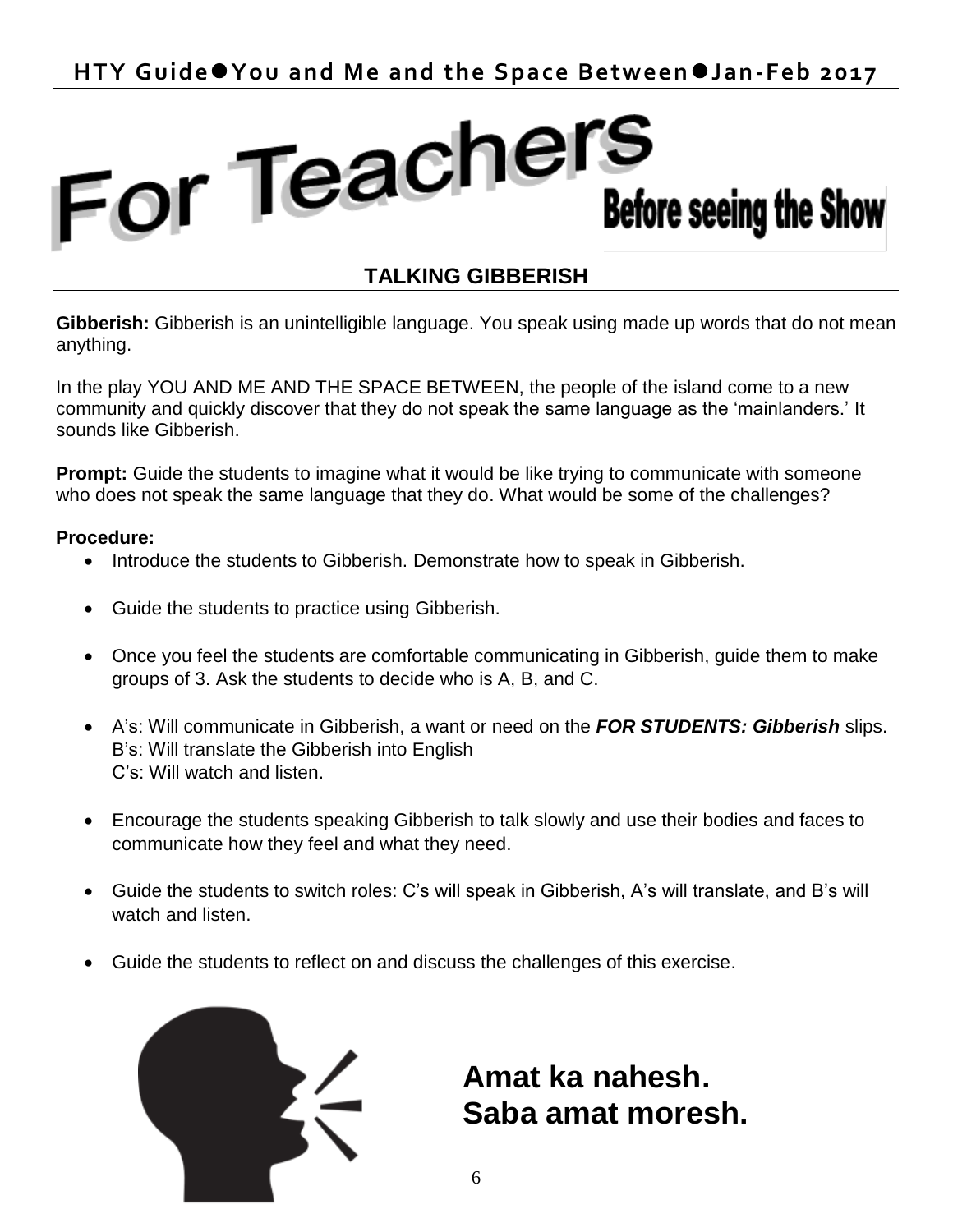### For Teachers **Before seeing the Show**

#### **TALKING GIBBERISH**

**Gibberish:** Gibberish is an unintelligible language. You speak using made up words that do not mean anything.

In the play YOU AND ME AND THE SPACE BETWEEN, the people of the island come to a new community and quickly discover that they do not speak the same language as the 'mainlanders.' It sounds like Gibberish.

**Prompt:** Guide the students to imagine what it would be like trying to communicate with someone who does not speak the same language that they do. What would be some of the challenges?

#### **Procedure:**

- Introduce the students to Gibberish. Demonstrate how to speak in Gibberish.
- Guide the students to practice using Gibberish.
- Once you feel the students are comfortable communicating in Gibberish, guide them to make groups of 3. Ask the students to decide who is A, B, and C.
- A's: Will communicate in Gibberish, a want or need on the *FOR STUDENTS: Gibberish* slips. B's: Will translate the Gibberish into English C's: Will watch and listen.
- Encourage the students speaking Gibberish to talk slowly and use their bodies and faces to communicate how they feel and what they need.
- Guide the students to switch roles: C's will speak in Gibberish, A's will translate, and B's will watch and listen.
- Guide the students to reflect on and discuss the challenges of this exercise.



**Amat ka nahesh. Saba amat moresh.** 

6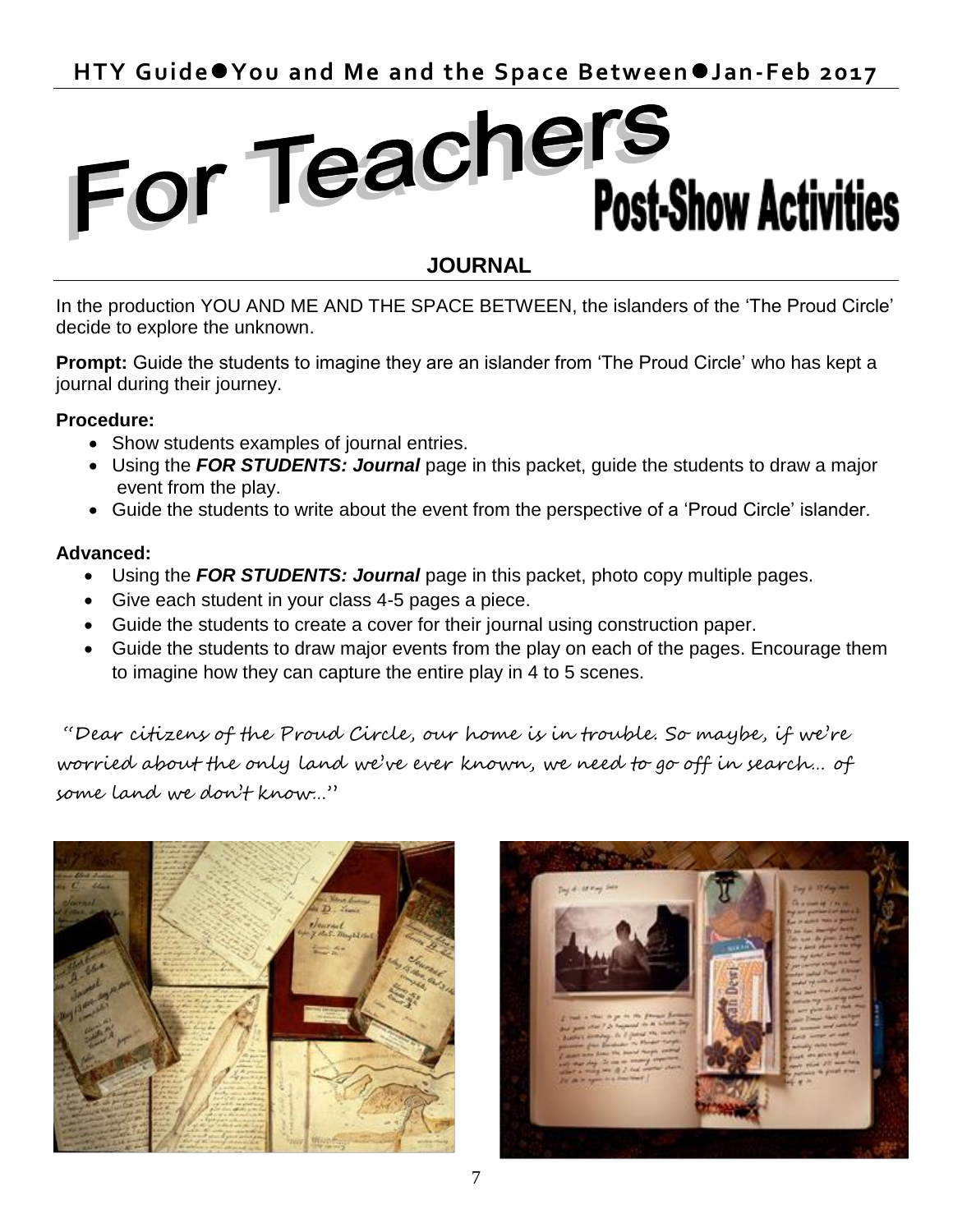### For Teachers **Post-Show Activities**

#### **JOURNAL**

In the production YOU AND ME AND THE SPACE BETWEEN, the islanders of the 'The Proud Circle' decide to explore the unknown.

**Prompt:** Guide the students to imagine they are an islander from 'The Proud Circle' who has kept a journal during their journey.

#### **Procedure:**

- Show students examples of journal entries.
- Using the *FOR STUDENTS: Journal* page in this packet, guide the students to draw a major event from the play.
- Guide the students to write about the event from the perspective of a 'Proud Circle' islander.

#### **Advanced:**

- Using the *FOR STUDENTS: Journal* page in this packet, photo copy multiple pages.
- Give each student in your class 4-5 pages a piece.
- Guide the students to create a cover for their journal using construction paper.
- Guide the students to draw major events from the play on each of the pages. Encourage them to imagine how they can capture the entire play in 4 to 5 scenes.

"Dear citizens of the Proud Circle, our home is in trouble. So maybe, if we're worried about the only land we've ever known, we need to go off in search… of some land we don't know…"



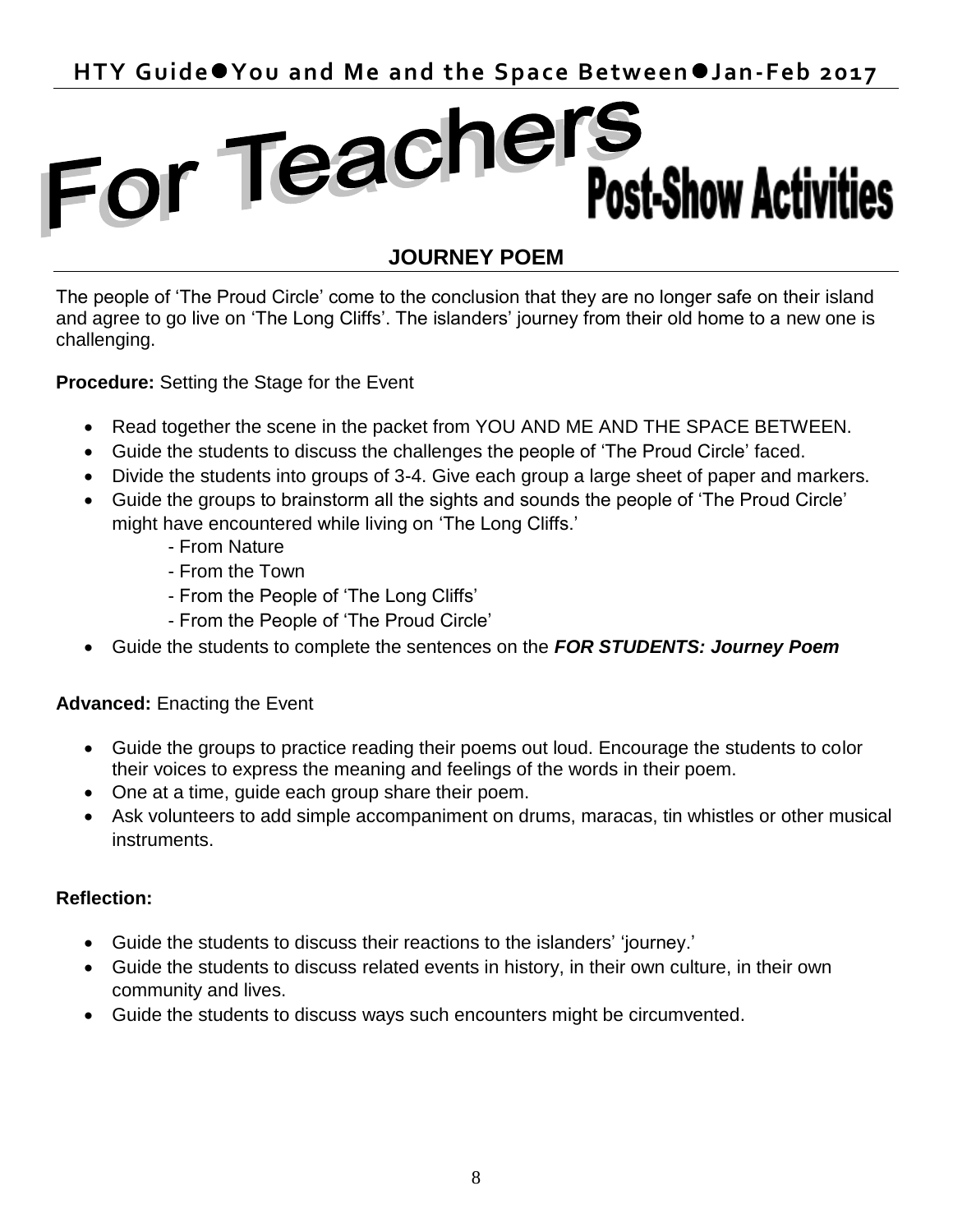### For Teachers **Post-Show Activities**

#### **JOURNEY POEM**

The people of 'The Proud Circle' come to the conclusion that they are no longer safe on their island and agree to go live on 'The Long Cliffs'. The islanders' journey from their old home to a new one is challenging.

**Procedure:** Setting the Stage for the Event

- Read together the scene in the packet from YOU AND ME AND THE SPACE BETWEEN.
- Guide the students to discuss the challenges the people of 'The Proud Circle' faced.
- Divide the students into groups of 3-4. Give each group a large sheet of paper and markers.
- Guide the groups to brainstorm all the sights and sounds the people of 'The Proud Circle' might have encountered while living on 'The Long Cliffs.'
	- From Nature
	- From the Town
	- From the People of 'The Long Cliffs'
	- From the People of 'The Proud Circle'
- Guide the students to complete the sentences on the *FOR STUDENTS: Journey Poem*

#### **Advanced:** Enacting the Event

- Guide the groups to practice reading their poems out loud. Encourage the students to color their voices to express the meaning and feelings of the words in their poem.
- One at a time, guide each group share their poem.
- Ask volunteers to add simple accompaniment on drums, maracas, tin whistles or other musical instruments.

#### **Reflection:**

- Guide the students to discuss their reactions to the islanders' 'journey.'
- Guide the students to discuss related events in history, in their own culture, in their own community and lives.
- Guide the students to discuss ways such encounters might be circumvented.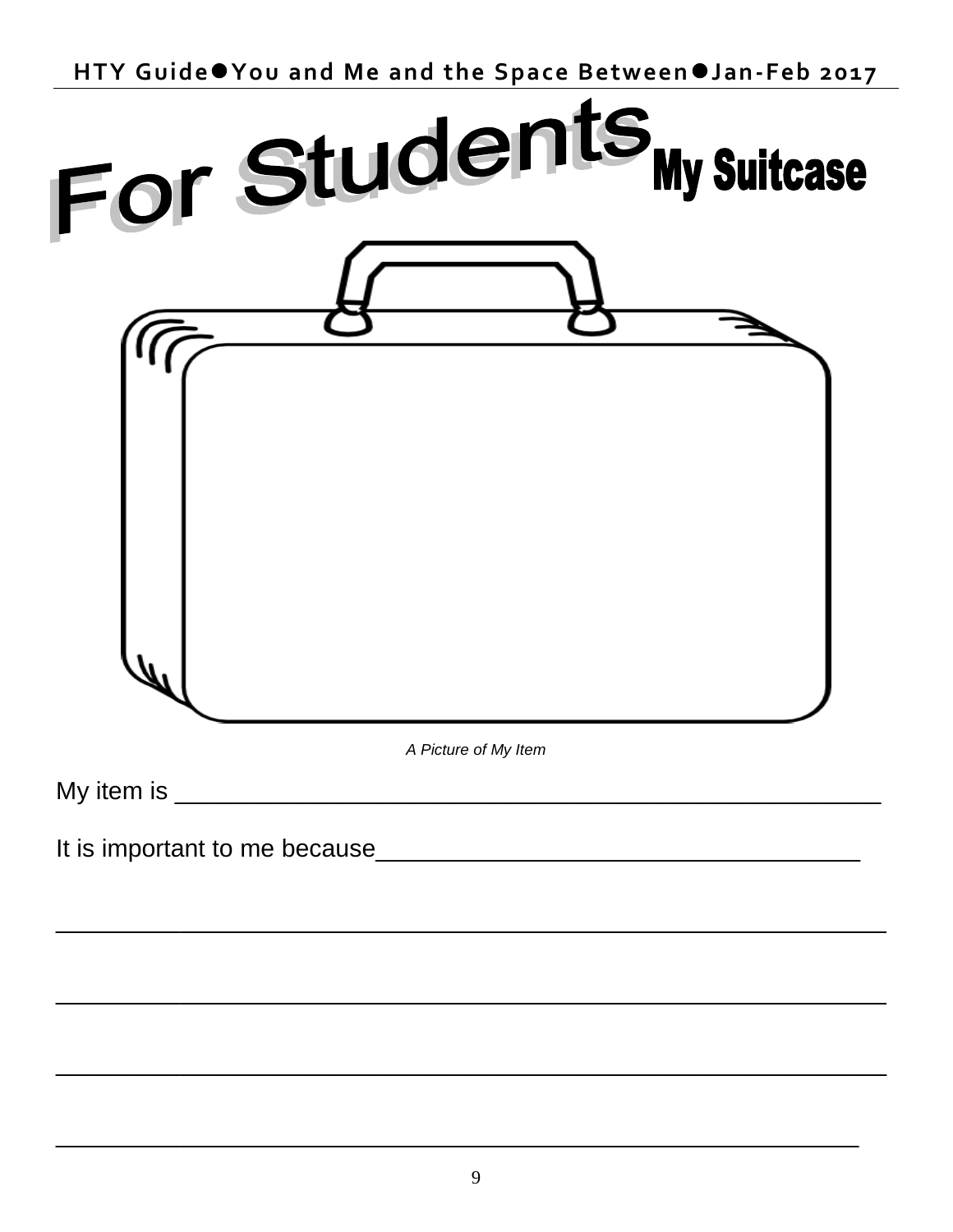

| For Students My Suitcase |                      |  |
|--------------------------|----------------------|--|
|                          |                      |  |
|                          | A Picture of My Item |  |
|                          |                      |  |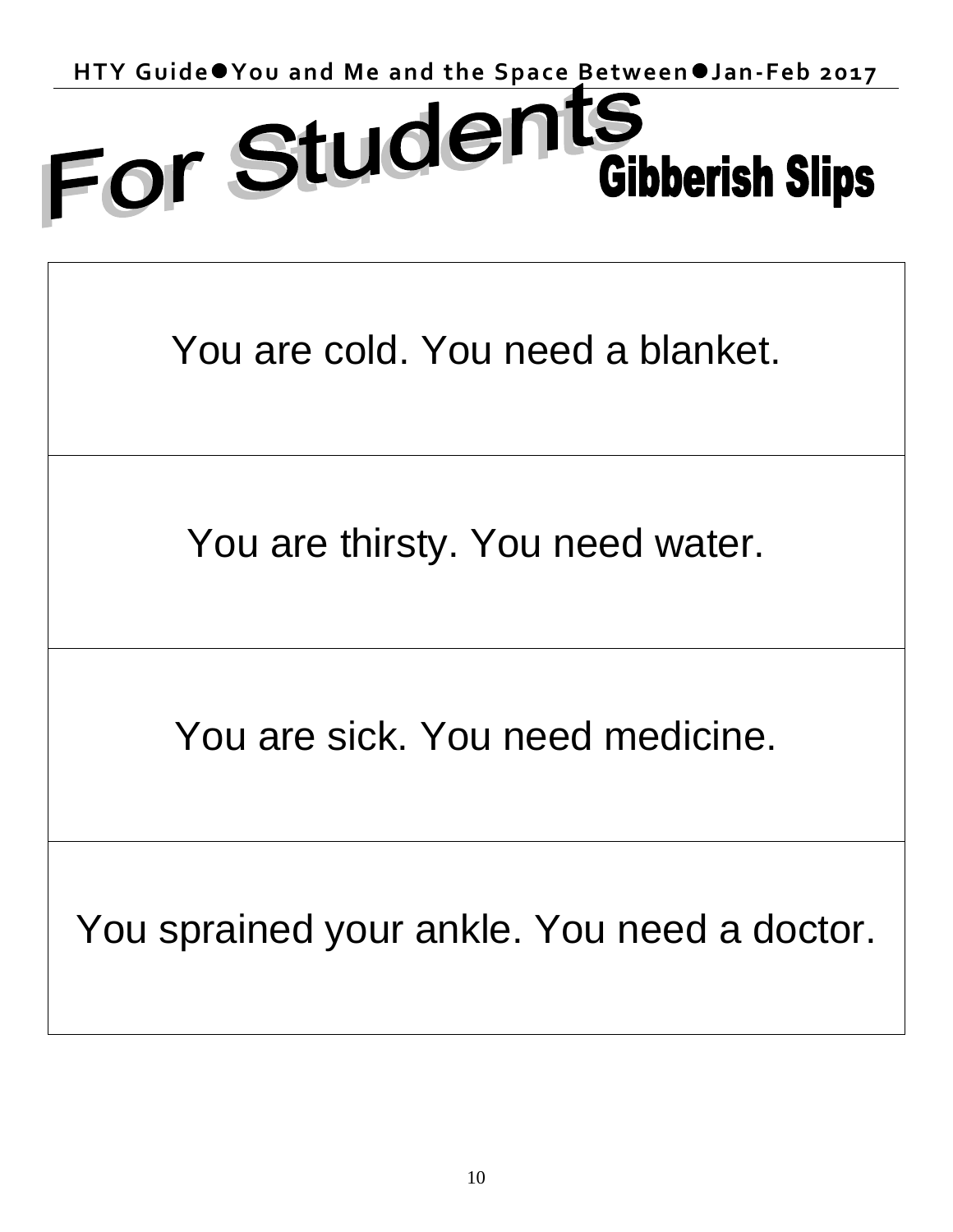## HTY Guide<sup>o</sup> You and Me and the Space Between *Jan-Feb 2017*<br>
FOL Stude nts<br>
Gibboriek & Bin-**Gibberish Slips**

You are cold. You need a blanket.

You are thirsty. You need water.

You are sick. You need medicine.

You sprained your ankle. You need a doctor.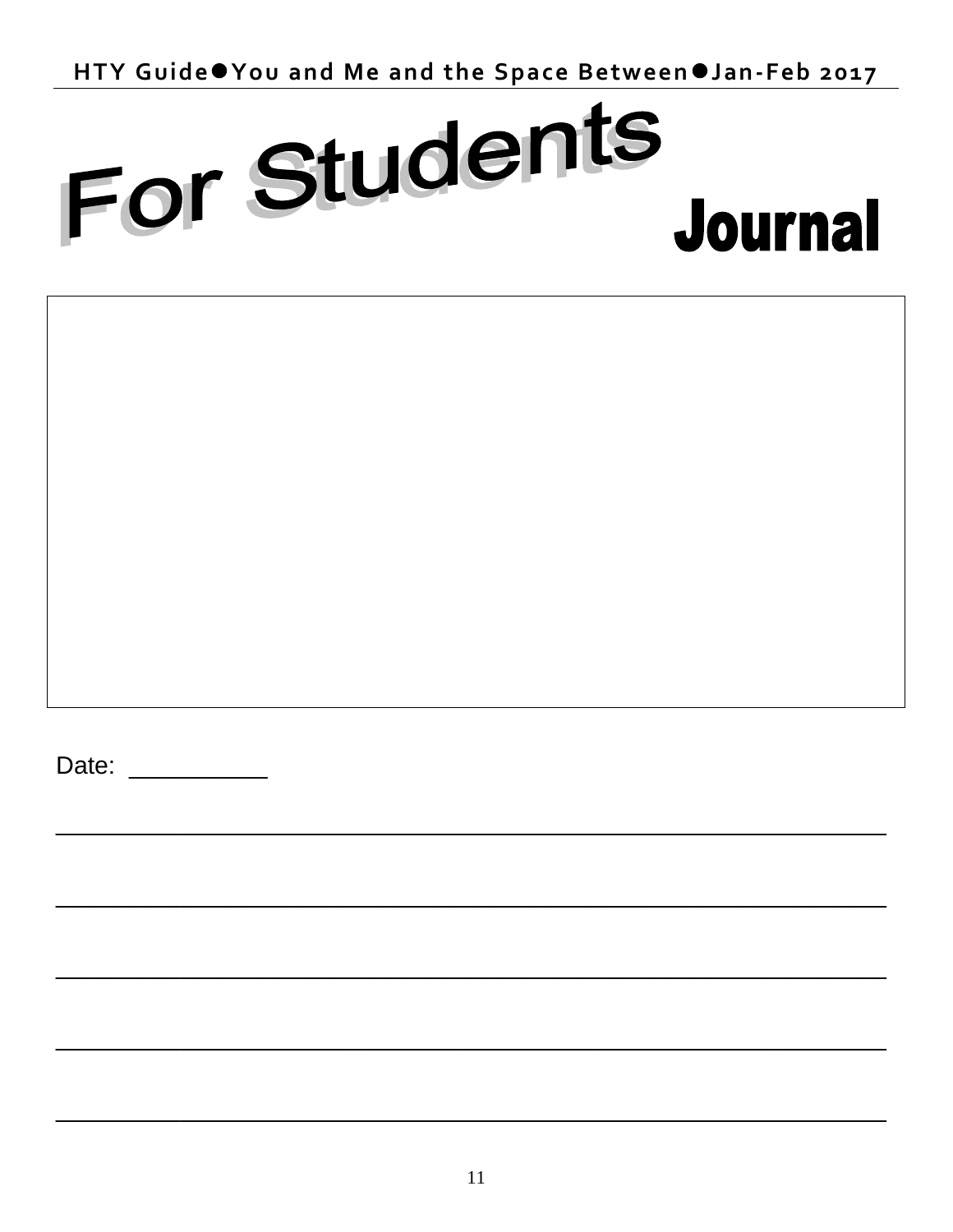HTY Guide●You and Me and the Space Between●Jan-Feb 2017

# For Students **Journal**

Date: **Date:**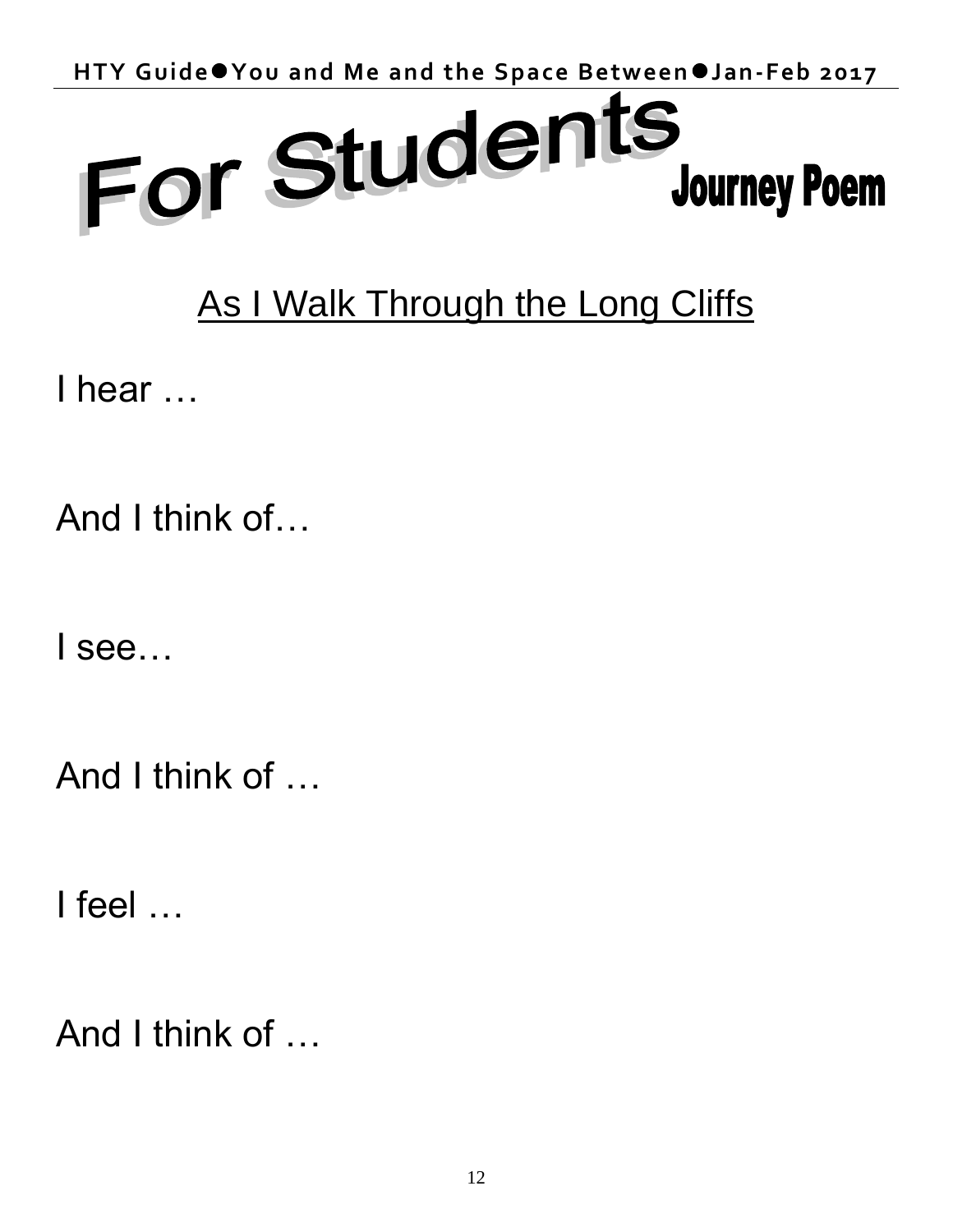

### As I Walk Through the Long Cliffs

I hear …

And I think of…

I see…

And I think of …

I feel …

And I think of …